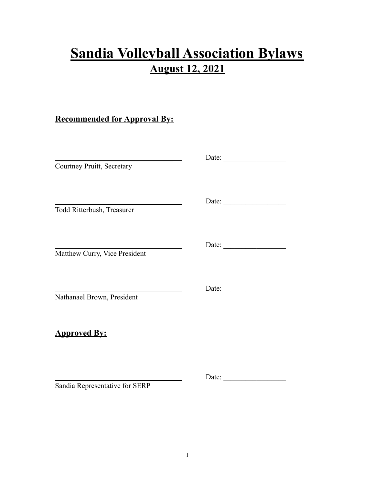# **Sandia Volleyball Association Bylaws August 12, 2021**

# **Recommended for Approval By:**

| Date:<br>Date: $\qquad \qquad$<br>Date:<br>Date: |
|--------------------------------------------------|

Sandia Representative for SERP

\_\_\_\_\_\_\_\_\_\_\_\_\_\_\_\_\_\_\_\_\_\_\_\_\_\_\_\_\_\_\_\_ Date: \_\_\_\_\_\_\_\_\_\_\_\_\_\_\_\_\_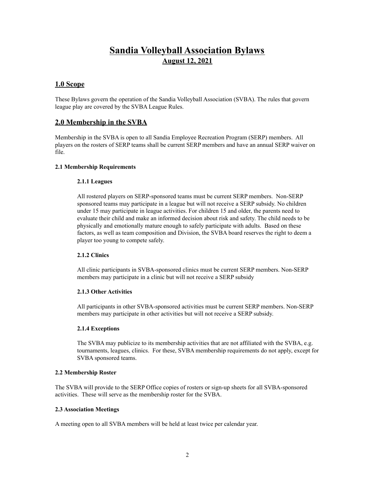# **Sandia Volleyball Association Bylaws August 12, 2021**

# **1.0 Scope**

These Bylaws govern the operation of the Sandia Volleyball Association (SVBA). The rules that govern league play are covered by the SVBA League Rules.

# **2.0 Membership in the SVBA**

Membership in the SVBA is open to all Sandia Employee Recreation Program (SERP) members. All players on the rosters of SERP teams shall be current SERP members and have an annual SERP waiver on file.

#### **2.1 Membership Requirements**

#### **2.1.1 Leagues**

All rostered players on SERP-sponsored teams must be current SERP members. Non-SERP sponsored teams may participate in a league but will not receive a SERP subsidy. No children under 15 may participate in league activities. For children 15 and older, the parents need to evaluate their child and make an informed decision about risk and safety. The child needs to be physically and emotionally mature enough to safely participate with adults. Based on these factors, as well as team composition and Division, the SVBA board reserves the right to deem a player too young to compete safely.

#### **2.1.2 Clinics**

All clinic participants in SVBA-sponsored clinics must be current SERP members. Non-SERP members may participate in a clinic but will not receive a SERP subsidy

#### **2.1.3 Other Activities**

All participants in other SVBA-sponsored activities must be current SERP members. Non-SERP members may participate in other activities but will not receive a SERP subsidy.

#### **2.1.4 Exceptions**

The SVBA may publicize to its membership activities that are not affiliated with the SVBA, e.g. tournaments, leagues, clinics. For these, SVBA membership requirements do not apply, except for SVBA sponsored teams.

#### **2.2 Membership Roster**

The SVBA will provide to the SERP Office copies of rosters or sign-up sheets for all SVBA-sponsored activities. These will serve as the membership roster for the SVBA.

#### **2.3 Association Meetings**

A meeting open to all SVBA members will be held at least twice per calendar year.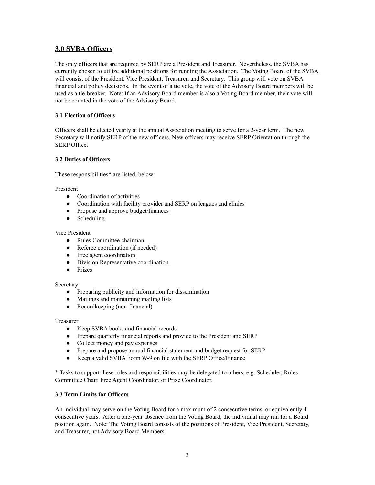# **3.0 SVBA Officers**

The only officers that are required by SERP are a President and Treasurer. Nevertheless, the SVBA has currently chosen to utilize additional positions for running the Association. The Voting Board of the SVBA will consist of the President, Vice President, Treasurer, and Secretary. This group will vote on SVBA financial and policy decisions. In the event of a tie vote, the vote of the Advisory Board members will be used as a tie-breaker. Note: If an Advisory Board member is also a Voting Board member, their vote will not be counted in the vote of the Advisory Board.

#### **3.1 Election of Officers**

Officers shall be elected yearly at the annual Association meeting to serve for a 2-year term. The new Secretary will notify SERP of the new officers. New officers may receive SERP Orientation through the SERP Office.

#### **3.2 Duties of Officers**

These responsibilities\* are listed, below:

President

- Coordination of activities
- Coordination with facility provider and SERP on leagues and clinics
- Propose and approve budget/finances
- Scheduling

Vice President

- Rules Committee chairman
- Referee coordination (if needed)
- Free agent coordination
- Division Representative coordination
- Prizes

#### **Secretary**

- Preparing publicity and information for dissemination
- Mailings and maintaining mailing lists
- Recordkeeping (non-financial)

#### Treasurer

- Keep SVBA books and financial records
- Prepare quarterly financial reports and provide to the President and SERP
- Collect money and pay expenses
- Prepare and propose annual financial statement and budget request for SERP
- Keep a valid SVBA Form W-9 on file with the SERP Office/Finance

\* Tasks to support these roles and responsibilities may be delegated to others, e.g. Scheduler, Rules Committee Chair, Free Agent Coordinator, or Prize Coordinator.

#### **3.3 Term Limits for Officers**

An individual may serve on the Voting Board for a maximum of 2 consecutive terms, or equivalently 4 consecutive years. After a one-year absence from the Voting Board, the individual may run for a Board position again. Note: The Voting Board consists of the positions of President, Vice President, Secretary, and Treasurer, not Advisory Board Members.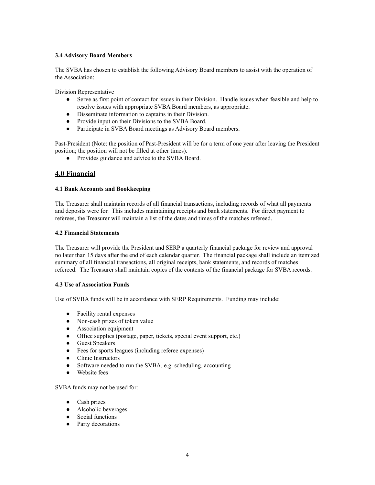#### **3.4 Advisory Board Members**

The SVBA has chosen to establish the following Advisory Board members to assist with the operation of the Association:

Division Representative

- Serve as first point of contact for issues in their Division. Handle issues when feasible and help to resolve issues with appropriate SVBA Board members, as appropriate.
- Disseminate information to captains in their Division.
- Provide input on their Divisions to the SVBA Board.
- Participate in SVBA Board meetings as Advisory Board members.

Past-President (Note: the position of Past-President will be for a term of one year after leaving the President position; the position will not be filled at other times).

● Provides guidance and advice to the SVBA Board.

### **4.0 Financial**

#### **4.1 Bank Accounts and Bookkeeping**

The Treasurer shall maintain records of all financial transactions, including records of what all payments and deposits were for. This includes maintaining receipts and bank statements. For direct payment to referees, the Treasurer will maintain a list of the dates and times of the matches refereed.

#### **4.2 Financial Statements**

The Treasurer will provide the President and SERP a quarterly financial package for review and approval no later than 15 days after the end of each calendar quarter. The financial package shall include an itemized summary of all financial transactions, all original receipts, bank statements, and records of matches refereed. The Treasurer shall maintain copies of the contents of the financial package for SVBA records.

#### **4.3 Use of Association Funds**

Use of SVBA funds will be in accordance with SERP Requirements. Funding may include:

- Facility rental expenses
- Non-cash prizes of token value
- Association equipment
- Office supplies (postage, paper, tickets, special event support, etc.)
- Guest Speakers
- Fees for sports leagues (including referee expenses)
- Clinic Instructors
- Software needed to run the SVBA, e.g. scheduling, accounting
- Website fees

SVBA funds may not be used for:

- Cash prizes
- Alcoholic beverages
- Social functions
- Party decorations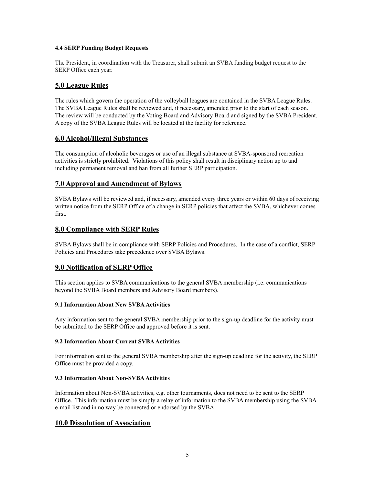#### **4.4 SERP Funding Budget Requests**

The President, in coordination with the Treasurer, shall submit an SVBA funding budget request to the SERP Office each year.

# **5.0 League Rules**

The rules which govern the operation of the volleyball leagues are contained in the SVBA League Rules. The SVBA League Rules shall be reviewed and, if necessary, amended prior to the start of each season. The review will be conducted by the Voting Board and Advisory Board and signed by the SVBA President. A copy of the SVBA League Rules will be located at the facility for reference.

# **6.0 Alcohol/Illegal Substances**

The consumption of alcoholic beverages or use of an illegal substance at SVBA-sponsored recreation activities is strictly prohibited. Violations of this policy shall result in disciplinary action up to and including permanent removal and ban from all further SERP participation.

# **7.0 Approval and Amendment of Bylaws**

SVBA Bylaws will be reviewed and, if necessary, amended every three years or within 60 days of receiving written notice from the SERP Office of a change in SERP policies that affect the SVBA, whichever comes first.

# **8.0 Compliance with SERP Rules**

SVBA Bylaws shall be in compliance with SERP Policies and Procedures. In the case of a conflict, SERP Policies and Procedures take precedence over SVBA Bylaws.

# **9.0 Notification of SERP Office**

This section applies to SVBA communications to the general SVBA membership (i.e. communications beyond the SVBA Board members and Advisory Board members).

#### **9.1 Information About New SVBAActivities**

Any information sent to the general SVBA membership prior to the sign-up deadline for the activity must be submitted to the SERP Office and approved before it is sent.

#### **9.2 Information About Current SVBAActivities**

For information sent to the general SVBA membership after the sign-up deadline for the activity, the SERP Office must be provided a copy.

#### **9.3 Information About Non-SVBAActivities**

Information about Non-SVBA activities, e.g. other tournaments, does not need to be sent to the SERP Office. This information must be simply a relay of information to the SVBA membership using the SVBA e-mail list and in no way be connected or endorsed by the SVBA.

# **10.0 Dissolution of Association**